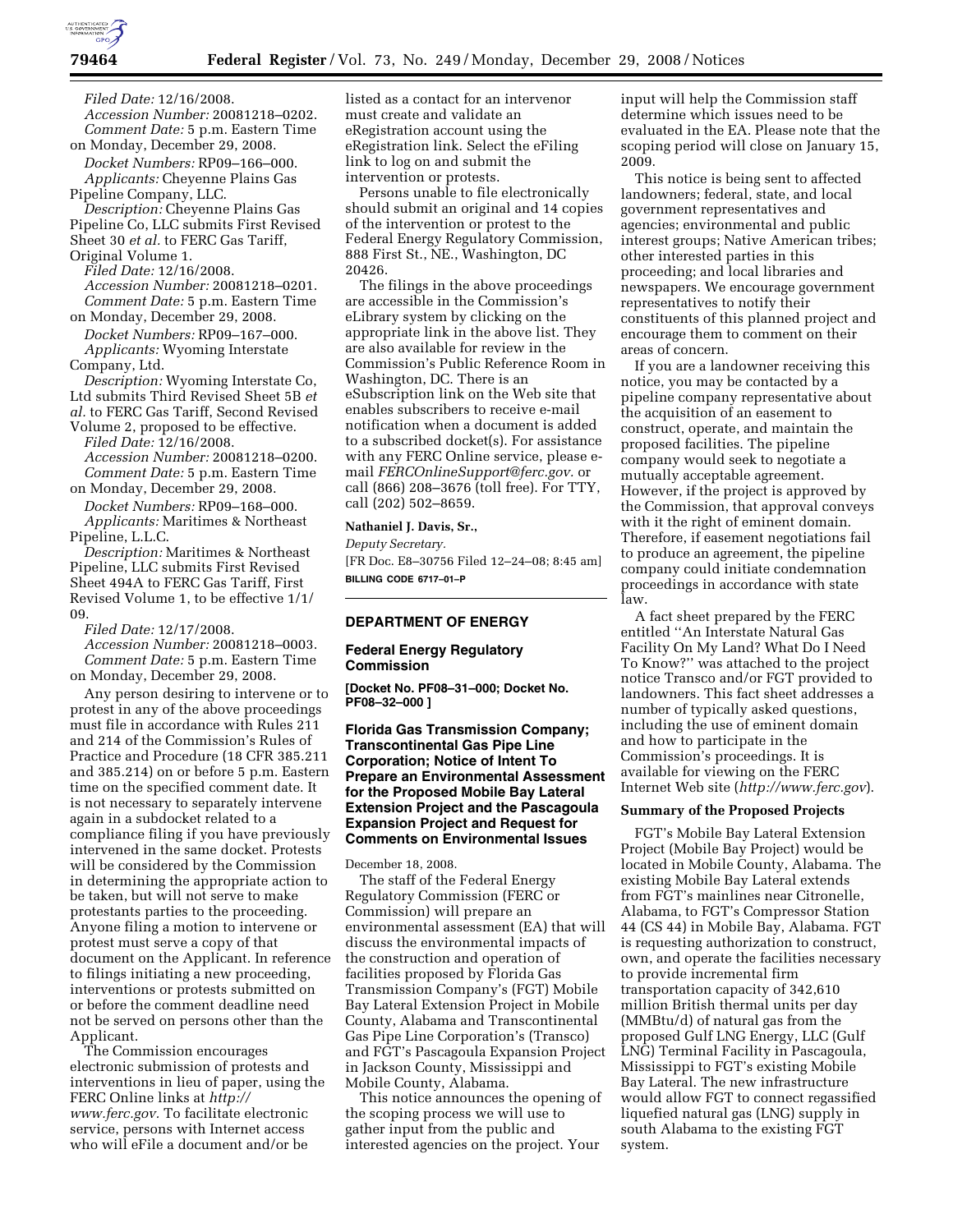

*Filed Date:* 12/16/2008. *Accession Number:* 20081218–0202. *Comment Date:* 5 p.m. Eastern Time on Monday, December 29, 2008.

*Docket Numbers:* RP09–166–000. *Applicants:* Cheyenne Plains Gas Pipeline Company, LLC.

*Description:* Cheyenne Plains Gas Pipeline Co, LLC submits First Revised Sheet 30 *et al.* to FERC Gas Tariff,

Original Volume 1. *Filed Date:* 12/16/2008. *Accession Number:* 20081218–0201. *Comment Date:* 5 p.m. Eastern Time on Monday, December 29, 2008.

*Docket Numbers:* RP09–167–000. *Applicants:* Wyoming Interstate Company, Ltd.

*Description:* Wyoming Interstate Co, Ltd submits Third Revised Sheet 5B *et al.* to FERC Gas Tariff, Second Revised

Volume 2, proposed to be effective. *Filed Date:* 12/16/2008. *Accession Number:* 20081218–0200. *Comment Date:* 5 p.m. Eastern Time

on Monday, December 29, 2008. *Docket Numbers:* RP09–168–000. *Applicants:* Maritimes & Northeast

Pipeline, L.L.C. *Description:* Maritimes & Northeast Pipeline, LLC submits First Revised Sheet 494A to FERC Gas Tariff, First Revised Volume 1, to be effective 1/1/ 09.

*Filed Date:* 12/17/2008.

*Accession Number:* 20081218–0003. *Comment Date:* 5 p.m. Eastern Time on Monday, December 29, 2008.

Any person desiring to intervene or to protest in any of the above proceedings must file in accordance with Rules 211 and 214 of the Commission's Rules of Practice and Procedure (18 CFR 385.211 and 385.214) on or before 5 p.m. Eastern time on the specified comment date. It is not necessary to separately intervene again in a subdocket related to a compliance filing if you have previously intervened in the same docket. Protests will be considered by the Commission in determining the appropriate action to be taken, but will not serve to make protestants parties to the proceeding. Anyone filing a motion to intervene or protest must serve a copy of that document on the Applicant. In reference to filings initiating a new proceeding, interventions or protests submitted on or before the comment deadline need not be served on persons other than the Applicant.

The Commission encourages electronic submission of protests and interventions in lieu of paper, using the FERC Online links at *http:// www.ferc.gov.* To facilitate electronic service, persons with Internet access who will eFile a document and/or be

listed as a contact for an intervenor must create and validate an eRegistration account using the eRegistration link. Select the eFiling link to log on and submit the intervention or protests.

Persons unable to file electronically should submit an original and 14 copies of the intervention or protest to the Federal Energy Regulatory Commission, 888 First St., NE., Washington, DC 20426.

The filings in the above proceedings are accessible in the Commission's eLibrary system by clicking on the appropriate link in the above list. They are also available for review in the Commission's Public Reference Room in Washington, DC. There is an eSubscription link on the Web site that enables subscribers to receive e-mail notification when a document is added to a subscribed docket(s). For assistance with any FERC Online service, please email *FERCOnlineSupport@ferc.gov.* or call (866) 208–3676 (toll free). For TTY, call (202) 502–8659.

#### **Nathaniel J. Davis, Sr.,**

*Deputy Secretary.* 

[FR Doc. E8–30756 Filed 12–24–08; 8:45 am] **BILLING CODE 6717–01–P** 

## **DEPARTMENT OF ENERGY**

## **Federal Energy Regulatory Commission**

**[Docket No. PF08–31–000; Docket No. PF08–32–000 ]** 

# **Florida Gas Transmission Company; Transcontinental Gas Pipe Line Corporation; Notice of Intent To Prepare an Environmental Assessment for the Proposed Mobile Bay Lateral Extension Project and the Pascagoula Expansion Project and Request for Comments on Environmental Issues**

# December 18, 2008.

The staff of the Federal Energy Regulatory Commission (FERC or Commission) will prepare an environmental assessment (EA) that will discuss the environmental impacts of the construction and operation of facilities proposed by Florida Gas Transmission Company's (FGT) Mobile Bay Lateral Extension Project in Mobile County, Alabama and Transcontinental Gas Pipe Line Corporation's (Transco) and FGT's Pascagoula Expansion Project in Jackson County, Mississippi and Mobile County, Alabama.

This notice announces the opening of the scoping process we will use to gather input from the public and interested agencies on the project. Your

input will help the Commission staff determine which issues need to be evaluated in the EA. Please note that the scoping period will close on January 15, 2009.

This notice is being sent to affected landowners; federal, state, and local government representatives and agencies; environmental and public interest groups; Native American tribes; other interested parties in this proceeding; and local libraries and newspapers. We encourage government representatives to notify their constituents of this planned project and encourage them to comment on their areas of concern.

If you are a landowner receiving this notice, you may be contacted by a pipeline company representative about the acquisition of an easement to construct, operate, and maintain the proposed facilities. The pipeline company would seek to negotiate a mutually acceptable agreement. However, if the project is approved by the Commission, that approval conveys with it the right of eminent domain. Therefore, if easement negotiations fail to produce an agreement, the pipeline company could initiate condemnation proceedings in accordance with state law.

A fact sheet prepared by the FERC entitled ''An Interstate Natural Gas Facility On My Land? What Do I Need To Know?'' was attached to the project notice Transco and/or FGT provided to landowners. This fact sheet addresses a number of typically asked questions, including the use of eminent domain and how to participate in the Commission's proceedings. It is available for viewing on the FERC Internet Web site (*http://www.ferc.gov*).

## **Summary of the Proposed Projects**

FGT's Mobile Bay Lateral Extension Project (Mobile Bay Project) would be located in Mobile County, Alabama. The existing Mobile Bay Lateral extends from FGT's mainlines near Citronelle, Alabama, to FGT's Compressor Station 44 (CS 44) in Mobile Bay, Alabama. FGT is requesting authorization to construct, own, and operate the facilities necessary to provide incremental firm transportation capacity of 342,610 million British thermal units per day (MMBtu/d) of natural gas from the proposed Gulf LNG Energy, LLC (Gulf LNG) Terminal Facility in Pascagoula, Mississippi to FGT's existing Mobile Bay Lateral. The new infrastructure would allow FGT to connect regassified liquefied natural gas (LNG) supply in south Alabama to the existing FGT system.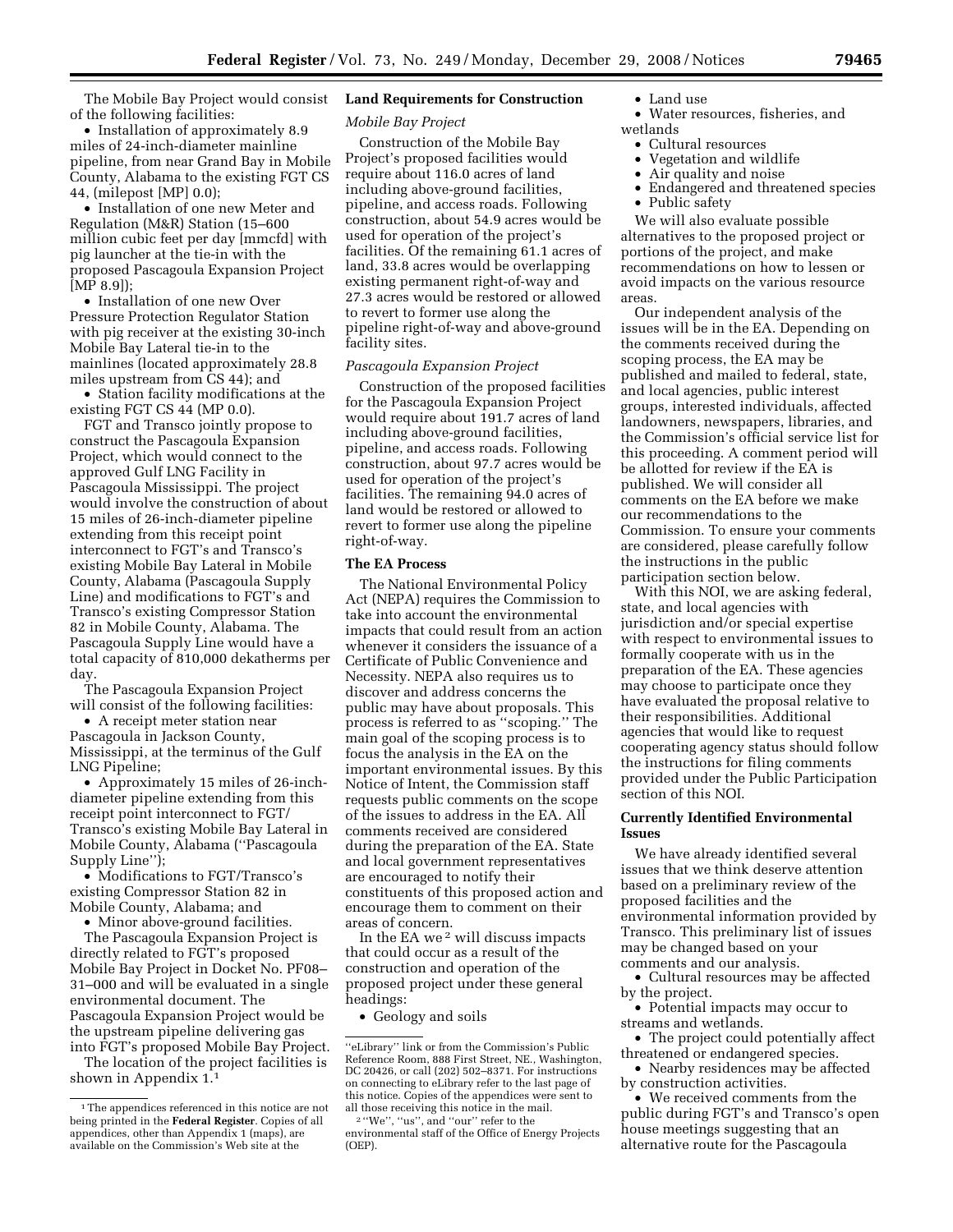The Mobile Bay Project would consist of the following facilities:

• Installation of approximately 8.9 miles of 24-inch-diameter mainline pipeline, from near Grand Bay in Mobile County, Alabama to the existing FGT CS 44, (milepost [MP] 0.0);

• Installation of one new Meter and Regulation (M&R) Station (15–600 million cubic feet per day [mmcfd] with pig launcher at the tie-in with the proposed Pascagoula Expansion Project [MP 8.9]);

• Installation of one new Over Pressure Protection Regulator Station with pig receiver at the existing 30-inch Mobile Bay Lateral tie-in to the mainlines (located approximately 28.8 miles upstream from CS 44); and

• Station facility modifications at the existing FGT CS 44 (MP 0.0).

FGT and Transco jointly propose to construct the Pascagoula Expansion Project, which would connect to the approved Gulf LNG Facility in Pascagoula Mississippi. The project would involve the construction of about 15 miles of 26-inch-diameter pipeline extending from this receipt point interconnect to FGT's and Transco's existing Mobile Bay Lateral in Mobile County, Alabama (Pascagoula Supply Line) and modifications to FGT's and Transco's existing Compressor Station 82 in Mobile County, Alabama. The Pascagoula Supply Line would have a total capacity of 810,000 dekatherms per day.

The Pascagoula Expansion Project will consist of the following facilities:

• A receipt meter station near Pascagoula in Jackson County, Mississippi, at the terminus of the Gulf LNG Pipeline;

• Approximately 15 miles of 26-inchdiameter pipeline extending from this receipt point interconnect to FGT/ Transco's existing Mobile Bay Lateral in Mobile County, Alabama (''Pascagoula Supply Line'');

• Modifications to FGT/Transco's existing Compressor Station 82 in Mobile County, Alabama; and

• Minor above-ground facilities.

The Pascagoula Expansion Project is directly related to FGT's proposed Mobile Bay Project in Docket No. PF08– 31–000 and will be evaluated in a single environmental document. The Pascagoula Expansion Project would be the upstream pipeline delivering gas into FGT's proposed Mobile Bay Project.

The location of the project facilities is shown in Appendix 1.1

# **Land Requirements for Construction**

## *Mobile Bay Project*

Construction of the Mobile Bay Project's proposed facilities would require about 116.0 acres of land including above-ground facilities, pipeline, and access roads. Following construction, about 54.9 acres would be used for operation of the project's facilities. Of the remaining 61.1 acres of land, 33.8 acres would be overlapping existing permanent right-of-way and 27.3 acres would be restored or allowed to revert to former use along the pipeline right-of-way and above-ground facility sites.

## *Pascagoula Expansion Project*

Construction of the proposed facilities for the Pascagoula Expansion Project would require about 191.7 acres of land including above-ground facilities, pipeline, and access roads. Following construction, about 97.7 acres would be used for operation of the project's facilities. The remaining 94.0 acres of land would be restored or allowed to revert to former use along the pipeline right-of-way.

#### **The EA Process**

The National Environmental Policy Act (NEPA) requires the Commission to take into account the environmental impacts that could result from an action whenever it considers the issuance of a Certificate of Public Convenience and Necessity. NEPA also requires us to discover and address concerns the public may have about proposals. This process is referred to as ''scoping.'' The main goal of the scoping process is to focus the analysis in the EA on the important environmental issues. By this Notice of Intent, the Commission staff requests public comments on the scope of the issues to address in the EA. All comments received are considered during the preparation of the EA. State and local government representatives are encouraged to notify their constituents of this proposed action and encourage them to comment on their areas of concern.

In the EA we 2 will discuss impacts that could occur as a result of the construction and operation of the proposed project under these general headings:

• Geology and soils

### • Land use

• Water resources, fisheries, and wetlands

- Cultural resources
- Vegetation and wildlife
- Air quality and noise
- Endangered and threatened species
- Public safety

We will also evaluate possible alternatives to the proposed project or portions of the project, and make recommendations on how to lessen or avoid impacts on the various resource areas.

Our independent analysis of the issues will be in the EA. Depending on the comments received during the scoping process, the EA may be published and mailed to federal, state, and local agencies, public interest groups, interested individuals, affected landowners, newspapers, libraries, and the Commission's official service list for this proceeding. A comment period will be allotted for review if the EA is published. We will consider all comments on the EA before we make our recommendations to the Commission. To ensure your comments are considered, please carefully follow the instructions in the public participation section below.

With this NOI, we are asking federal, state, and local agencies with jurisdiction and/or special expertise with respect to environmental issues to formally cooperate with us in the preparation of the EA. These agencies may choose to participate once they have evaluated the proposal relative to their responsibilities. Additional agencies that would like to request cooperating agency status should follow the instructions for filing comments provided under the Public Participation section of this NOI.

## **Currently Identified Environmental Issues**

We have already identified several issues that we think deserve attention based on a preliminary review of the proposed facilities and the environmental information provided by Transco. This preliminary list of issues may be changed based on your comments and our analysis.

• Cultural resources may be affected by the project.

• Potential impacts may occur to streams and wetlands.

• The project could potentially affect threatened or endangered species.

• Nearby residences may be affected by construction activities.

• We received comments from the public during FGT's and Transco's open house meetings suggesting that an alternative route for the Pascagoula

<sup>&</sup>lt;sup>1</sup>The appendices referenced in this notice are not being printed in the **Federal Register**. Copies of all appendices, other than Appendix 1 (maps), are available on the Commission's Web site at the

<sup>&#</sup>x27;'eLibrary'' link or from the Commission's Public Reference Room, 888 First Street, NE., Washington, DC 20426, or call (202) 502–8371. For instructions on connecting to eLibrary refer to the last page of this notice. Copies of the appendices were sent to<br>all those receiving this notice in the mail.

 $2$  "We", "us", and "our" refer to the environmental staff of the Office of Energy Projects (OEP).